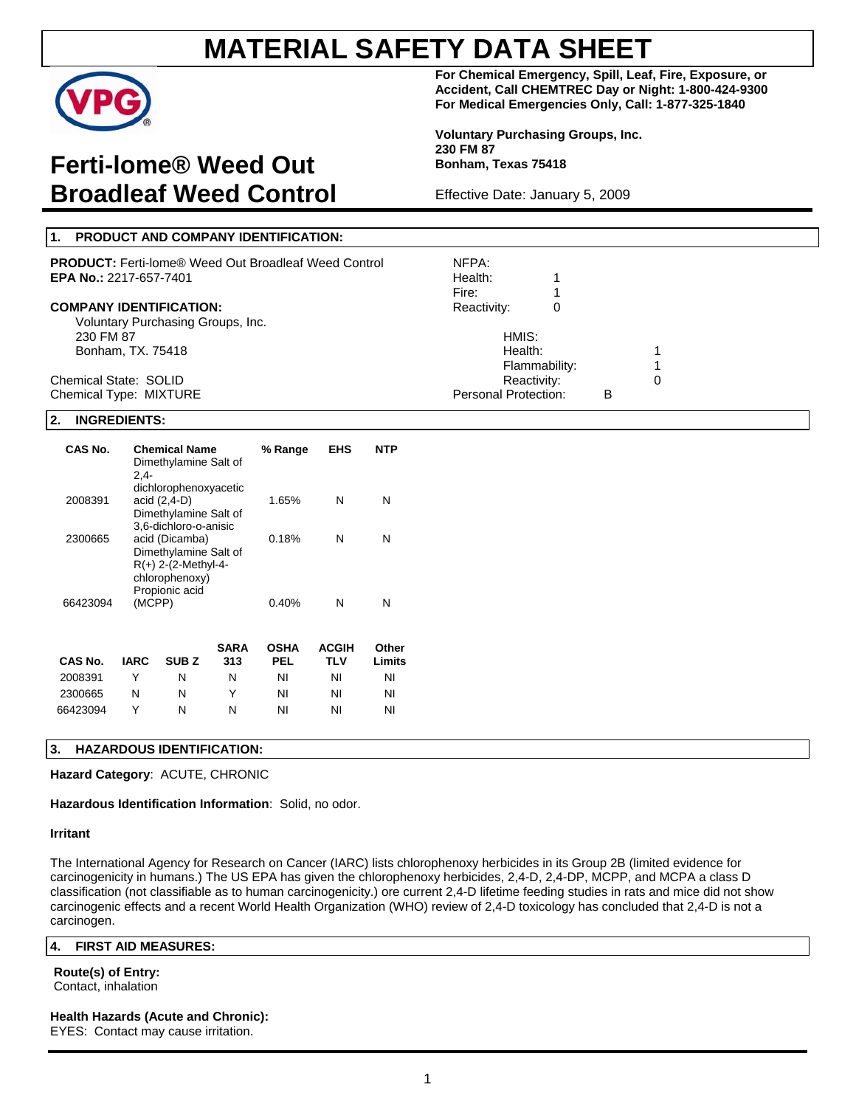

# **Ferti-lome® Weed Out Broadleaf Weed Control**

**For Chemical Emergency, Spill, Leaf, Fire, Exposure, or Accident, Call CHEMTREC Day or Night: 1-800-424-9300 For Medical Emergencies Only, Call: 1-877-325-1840** 

**Voluntary Purchasing Groups, Inc. 230 FM 87 Bonham, Texas 75418** 

Effective Date: January 5, 2009

| 1. PRODUCT AND COMPANY IDENTIFICATION:                      |                      |   |   |  |
|-------------------------------------------------------------|----------------------|---|---|--|
| <b>PRODUCT:</b> Ferti-lome® Weed Out Broadleaf Weed Control | NFPA:                |   |   |  |
| <b>EPA No.: 2217-657-7401</b>                               | Health:              |   |   |  |
|                                                             | Fire:                |   |   |  |
| <b>COMPANY IDENTIFICATION:</b>                              | Reactivity:          | 0 |   |  |
| Voluntary Purchasing Groups, Inc.                           |                      |   |   |  |
| 230 FM 87                                                   | HMIS:                |   |   |  |
| Bonham, TX. 75418                                           | Health:              |   |   |  |
|                                                             | Flammability:        |   |   |  |
| Chemical State: SOLID                                       | Reactivity:          |   |   |  |
| Chemical Type: MIXTURE                                      | Personal Protection: |   | в |  |

### **2. INGREDIENTS:**

| CAS No.  | 2.4-   | <b>Chemical Name</b><br>Dimethylamine Salt of                                                                                 |             | % Range     | EHS                 | NTP             |
|----------|--------|-------------------------------------------------------------------------------------------------------------------------------|-------------|-------------|---------------------|-----------------|
| 2008391  |        | dichlorophenoxyacetic<br>acid (2,4-D)<br>Dimethylamine Salt of                                                                |             | 1.65%       | N                   | N               |
| 2300665  |        | 3,6-dichloro-o-anisic<br>acid (Dicamba)<br>Dimethylamine Salt of<br>$R(+)$ 2-(2-Methyl-4-<br>chlorophenoxy)<br>Propionic acid |             | 0.18%       | N                   | N               |
| 66423094 | (MCPP) |                                                                                                                               |             | 0.40%       | N                   | N               |
| CAS No.  | IARC   | SUB Z                                                                                                                         | SARA<br>313 | OSHA<br>PEL | <b>ACGIH</b><br>TLV | Other<br>Limits |

| <b>CAS No.</b> | <b>IARC</b> | <b>SUB Z</b> | <b>SARA</b><br>313 | <b>OSHA</b><br><b>PEL</b> | <b>ACGIH</b><br>TLV | Other<br>Limits |
|----------------|-------------|--------------|--------------------|---------------------------|---------------------|-----------------|
| 2008391        |             | N            | N                  | ΝI                        | ΝI                  | ΝI              |
| 2300665        | N           | N            | Y                  | ΝI                        | ΝI                  | ΝI              |
| 66423094       |             | N            | N                  | ΝI                        | ΝI                  | ΝI              |

## **3. HAZARDOUS IDENTIFICATION:**

### **Hazard Category**: ACUTE, CHRONIC

**Hazardous Identification Information**: Solid, no odor.

### **Irritant**

The International Agency for Research on Cancer (IARC) lists chlorophenoxy herbicides in its Group 2B (limited evidence for carcinogenicity in humans.) The US EPA has given the chlorophenoxy herbicides, 2,4-D, 2,4-DP, MCPP, and MCPA a class D classification (not classifiable as to human carcinogenicity.) ore current 2,4-D lifetime feeding studies in rats and mice did not show carcinogenic effects and a recent World Health Organization (WHO) review of 2,4-D toxicology has concluded that 2,4-D is not a carcinogen.

### **4. FIRST AID MEASURES:**

#### **Route(s) of Entry:**  Contact, inhalation

## **Health Hazards (Acute and Chronic):**

EYES: Contact may cause irritation.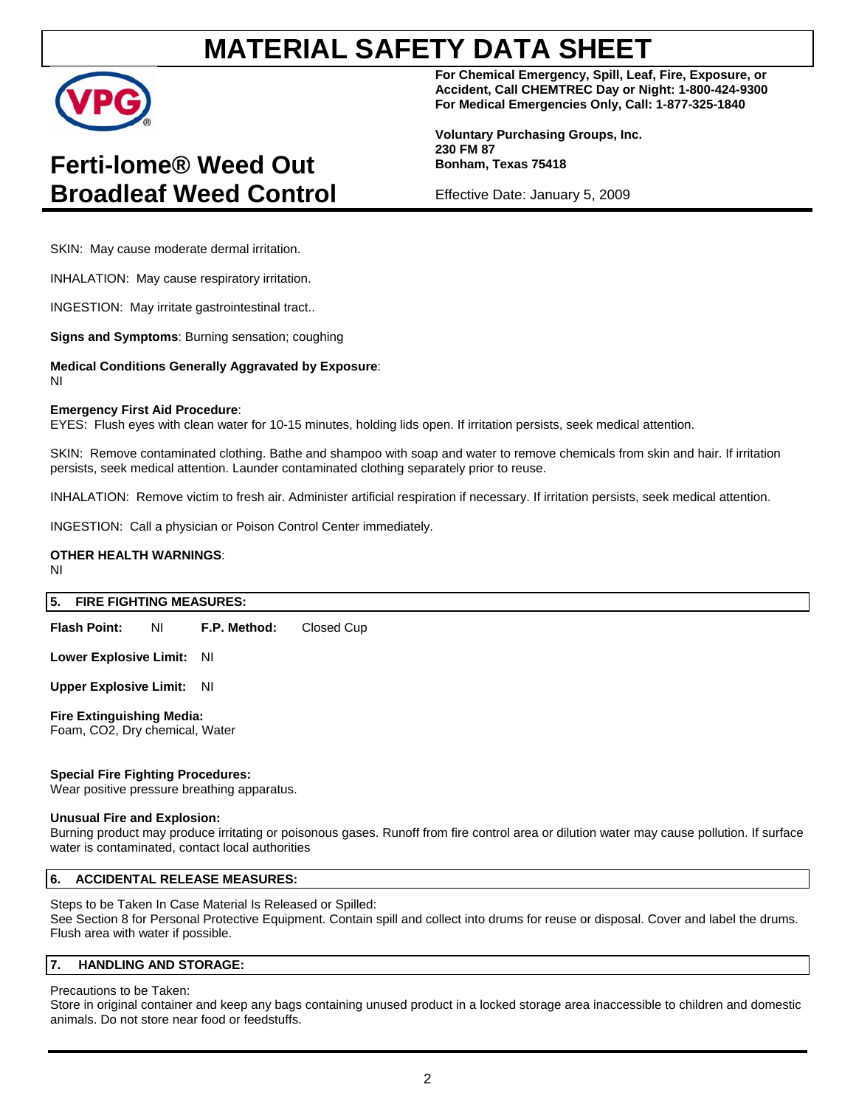

# **Ferti-lome® Weed Out Broadleaf Weed Control**

**For Chemical Emergency, Spill, Leaf, Fire, Exposure, or Accident, Call CHEMTREC Day or Night: 1-800-424-9300 For Medical Emergencies Only, Call: 1-877-325-1840** 

**Voluntary Purchasing Groups, Inc. 230 FM 87 Bonham, Texas 75418** 

Effective Date: January 5, 2009

SKIN: May cause moderate dermal irritation.

INHALATION: May cause respiratory irritation.

INGESTION: May irritate gastrointestinal tract..

**Signs and Symptoms**: Burning sensation; coughing

**Medical Conditions Generally Aggravated by Exposure**:

NI

### **Emergency First Aid Procedure**:

EYES: Flush eyes with clean water for 10-15 minutes, holding lids open. If irritation persists, seek medical attention.

SKIN: Remove contaminated clothing. Bathe and shampoo with soap and water to remove chemicals from skin and hair. If irritation persists, seek medical attention. Launder contaminated clothing separately prior to reuse.

INHALATION: Remove victim to fresh air. Administer artificial respiration if necessary. If irritation persists, seek medical attention.

INGESTION: Call a physician or Poison Control Center immediately.

# **OTHER HEALTH WARNINGS**:

NI

# **5. FIRE FIGHTING MEASURES:**

**Flash Point:** NI **F.P. Method:** Closed Cup

**Lower Explosive Limit:** NI

**Upper Explosive Limit:** NI

**Fire Extinguishing Media:**  Foam, CO2, Dry chemical, Water

## **Special Fire Fighting Procedures:**

Wear positive pressure breathing apparatus.

### **Unusual Fire and Explosion:**

Burning product may produce irritating or poisonous gases. Runoff from fire control area or dilution water may cause pollution. If surface water is contaminated, contact local authorities

# **6. ACCIDENTAL RELEASE MEASURES:**

Steps to be Taken In Case Material Is Released or Spilled: See Section 8 for Personal Protective Equipment. Contain spill and collect into drums for reuse or disposal. Cover and label the drums. Flush area with water if possible.

### **7. HANDLING AND STORAGE:**

Precautions to be Taken:

Store in original container and keep any bags containing unused product in a locked storage area inaccessible to children and domestic animals. Do not store near food or feedstuffs.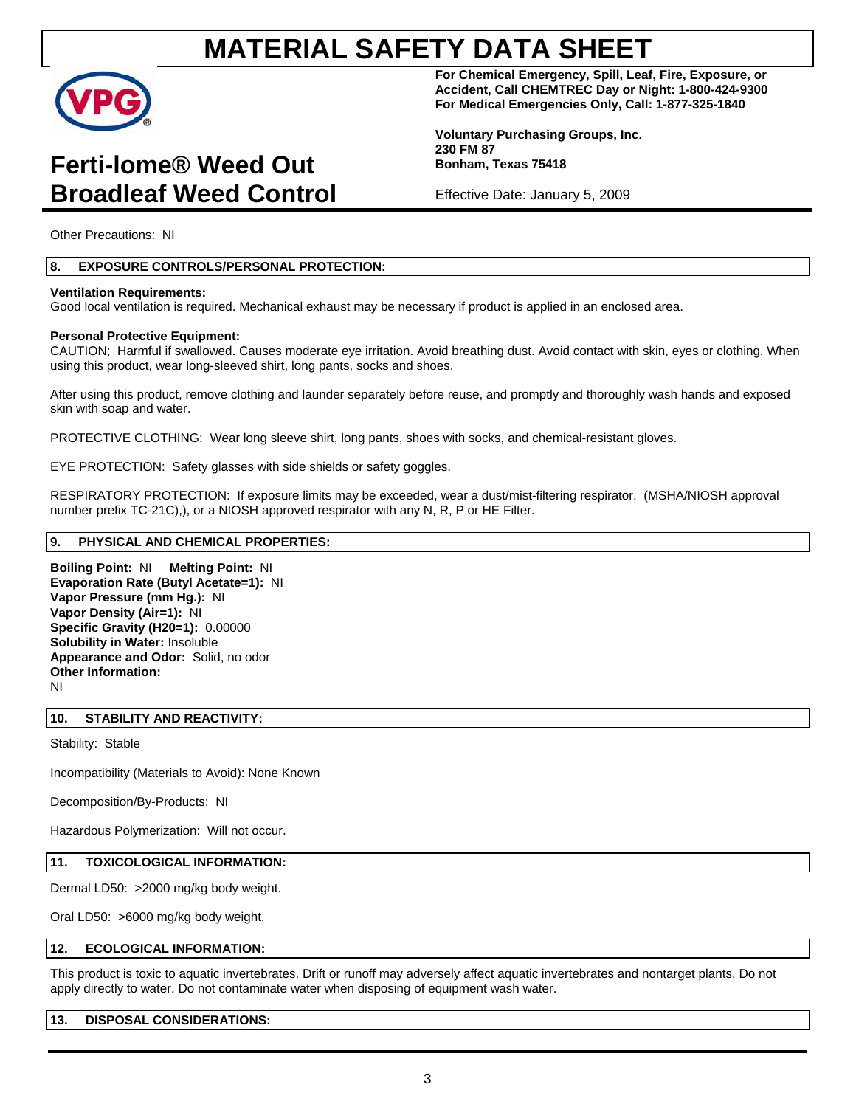

# **Ferti-lome® Weed Out Broadleaf Weed Control**

**For Chemical Emergency, Spill, Leaf, Fire, Exposure, or Accident, Call CHEMTREC Day or Night: 1-800-424-9300 For Medical Emergencies Only, Call: 1-877-325-1840** 

**Voluntary Purchasing Groups, Inc. 230 FM 87 Bonham, Texas 75418** 

Effective Date: January 5, 2009

Other Precautions: NI

# **8. EXPOSURE CONTROLS/PERSONAL PROTECTION:**

### **Ventilation Requirements:**

Good local ventilation is required. Mechanical exhaust may be necessary if product is applied in an enclosed area.

### **Personal Protective Equipment:**

CAUTION; Harmful if swallowed. Causes moderate eye irritation. Avoid breathing dust. Avoid contact with skin, eyes or clothing. When using this product, wear long-sleeved shirt, long pants, socks and shoes.

After using this product, remove clothing and launder separately before reuse, and promptly and thoroughly wash hands and exposed skin with soap and water.

PROTECTIVE CLOTHING: Wear long sleeve shirt, long pants, shoes with socks, and chemical-resistant gloves.

EYE PROTECTION: Safety glasses with side shields or safety goggles.

RESPIRATORY PROTECTION: If exposure limits may be exceeded, wear a dust/mist-filtering respirator. (MSHA/NIOSH approval number prefix TC-21C),), or a NIOSH approved respirator with any N, R, P or HE Filter.

## **9. PHYSICAL AND CHEMICAL PROPERTIES:**

**Boiling Point:** NI **Melting Point:** NI **Evaporation Rate (Butyl Acetate=1):** NI **Vapor Pressure (mm Hg.):** NI **Vapor Density (Air=1):** NI **Specific Gravity (H20=1):** 0.00000 **Solubility in Water:** Insoluble **Appearance and Odor:** Solid, no odor **Other Information:**  NI

## **10. STABILITY AND REACTIVITY:**

Stability: Stable

Incompatibility (Materials to Avoid): None Known

Decomposition/By-Products: NI

Hazardous Polymerization: Will not occur.

## **11. TOXICOLOGICAL INFORMATION:**

Dermal LD50: >2000 mg/kg body weight.

Oral LD50: >6000 mg/kg body weight.

### **12. ECOLOGICAL INFORMATION:**

This product is toxic to aquatic invertebrates. Drift or runoff may adversely affect aquatic invertebrates and nontarget plants. Do not apply directly to water. Do not contaminate water when disposing of equipment wash water.

### **13. DISPOSAL CONSIDERATIONS:**